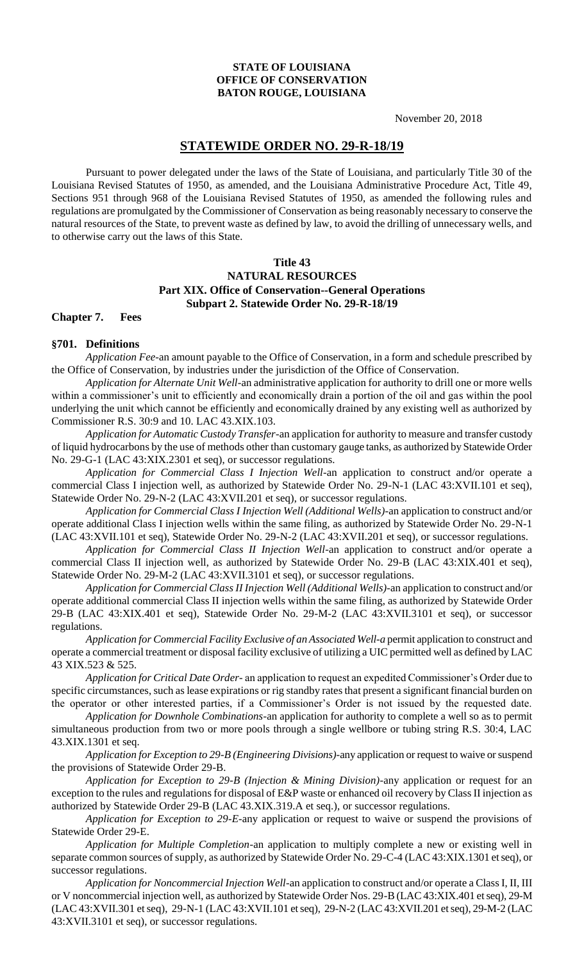#### **STATE OF LOUISIANA OFFICE OF CONSERVATION BATON ROUGE, LOUISIANA**

November 20, 2018

# **STATEWIDE ORDER NO. 29-R-18/19**

Pursuant to power delegated under the laws of the State of Louisiana, and particularly Title 30 of the Louisiana Revised Statutes of 1950, as amended, and the Louisiana Administrative Procedure Act, Title 49, Sections 951 through 968 of the Louisiana Revised Statutes of 1950, as amended the following rules and regulations are promulgated by the Commissioner of Conservation as being reasonably necessary to conserve the natural resources of the State, to prevent waste as defined by law, to avoid the drilling of unnecessary wells, and to otherwise carry out the laws of this State.

### **Title 43 NATURAL RESOURCES Part XIX. Office of Conservation--General Operations Subpart 2. Statewide Order No. 29-R-18/19**

#### **Chapter 7. Fees**

#### **§701. Definitions**

*Application Fee-*an amount payable to the Office of Conservation, in a form and schedule prescribed by the Office of Conservation, by industries under the jurisdiction of the Office of Conservation.

*Application for Alternate Unit Well*-an administrative application for authority to drill one or more wells within a commissioner's unit to efficiently and economically drain a portion of the oil and gas within the pool underlying the unit which cannot be efficiently and economically drained by any existing well as authorized by Commissioner R.S. 30:9 and 10. LAC 43.XIX.103.

*Application for Automatic Custody Transfer-*an application for authority to measure and transfer custody of liquid hydrocarbons by the use of methods other than customary gauge tanks, as authorized by Statewide Order No. 29-G-1 (LAC 43:XIX.2301 et seq), or successor regulations.

*Application for Commercial Class I Injection Well*-an application to construct and/or operate a commercial Class I injection well, as authorized by Statewide Order No. 29-N-1 (LAC 43:XVII.101 et seq), Statewide Order No. 29-N-2 (LAC 43:XVII.201 et seq), or successor regulations.

*Application for Commercial Class I Injection Well (Additional Wells)*-an application to construct and/or operate additional Class I injection wells within the same filing, as authorized by Statewide Order No. 29-N-1 (LAC 43:XVII.101 et seq), Statewide Order No. 29-N-2 (LAC 43:XVII.201 et seq), or successor regulations.

*Application for Commercial Class II Injection Well*-an application to construct and/or operate a commercial Class II injection well, as authorized by Statewide Order No. 29-B (LAC 43:XIX.401 et seq), Statewide Order No. 29-M-2 (LAC 43:XVII.3101 et seq), or successor regulations.

*Application for Commercial Class II Injection Well (Additional Wells)-*an application to construct and/or operate additional commercial Class II injection wells within the same filing, as authorized by Statewide Order 29-B (LAC 43:XIX.401 et seq), Statewide Order No. 29-M-2 (LAC 43:XVII.3101 et seq), or successor regulations.

*Application for Commercial Facility Exclusive of an Associated Well-a* permit application to construct and operate a commercial treatment or disposal facility exclusive of utilizing a UIC permitted well as defined by LAC 43 XIX.523 & 525.

*Application for Critical Date Order-* an application to request an expedited Commissioner's Order due to specific circumstances, such as lease expirations or rig standby rates that present a significant financial burden on the operator or other interested parties, if a Commissioner's Order is not issued by the requested date.

*Application for Downhole Combinations-*an application for authority to complete a well so as to permit simultaneous production from two or more pools through a single wellbore or tubing string R.S. 30:4, LAC 43.XIX.1301 et seq.

*Application for Exception to 29-B (Engineering Divisions)*-any application or request to waive or suspend the provisions of Statewide Order 29-B.

*Application for Exception to 29-B (Injection & Mining Division)-*any application or request for an exception to the rules and regulations for disposal of E&P waste or enhanced oil recovery by Class II injection as authorized by Statewide Order 29-B (LAC 43.XIX.319.A et seq.), or successor regulations.

*Application for Exception to 29-E*-any application or request to waive or suspend the provisions of Statewide Order 29-E.

*Application for Multiple Completion*-an application to multiply complete a new or existing well in separate common sources of supply, as authorized by Statewide Order No. 29-C-4 (LAC 43:XIX.1301 et seq), or successor regulations.

*Application for Noncommercial Injection Well*-an application to construct and/or operate a Class I, II, III or V noncommercial injection well, as authorized by Statewide Order Nos. 29-B (LAC 43:XIX.401 et seq), 29-M (LAC 43:XVII.301 et seq), 29-N-1 (LAC 43:XVII.101 et seq), 29-N-2 (LAC 43:XVII.201 et seq), 29-M-2 (LAC 43:XVII.3101 et seq), or successor regulations.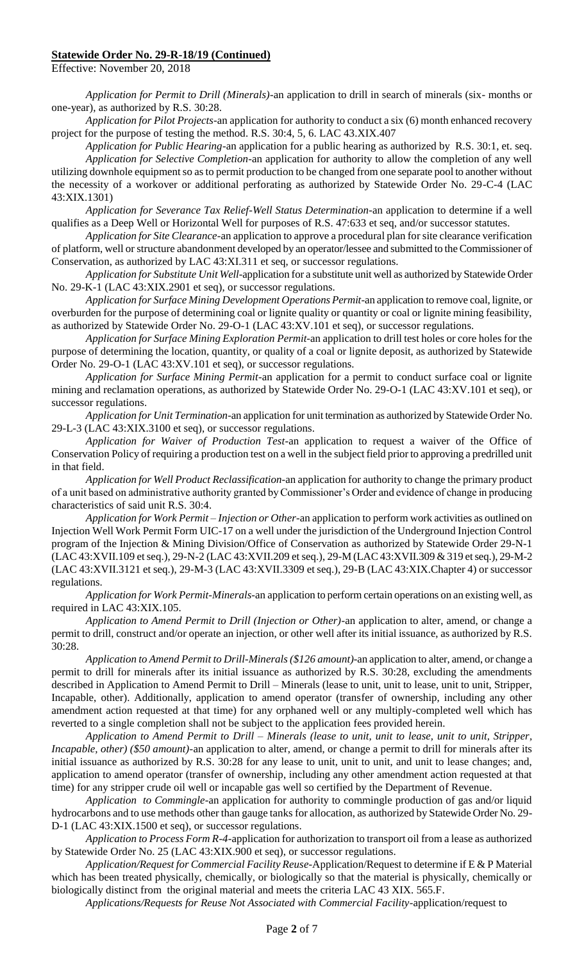Effective: November 20, 2018

*Application for Permit to Drill (Minerals)*-an application to drill in search of minerals (six- months or one-year), as authorized by R.S. 30:28.

*Application for Pilot Projects*-an application for authority to conduct a six (6) month enhanced recovery project for the purpose of testing the method. R.S. 30:4, 5, 6. LAC 43.XIX.407

*Application for Public Hearing*-an application for a public hearing as authorized by R.S. 30:1, et. seq. *Application for Selective Completion*-an application for authority to allow the completion of any well utilizing downhole equipment so as to permit production to be changed from one separate pool to another without the necessity of a workover or additional perforating as authorized by Statewide Order No. 29-C-4 (LAC 43:XIX.1301)

*Application for Severance Tax Relief-Well Status Determination*-an application to determine if a well qualifies as a Deep Well or Horizontal Well for purposes of R.S. 47:633 et seq, and/or successor statutes.

*Application for Site Clearance*-an application to approve a procedural plan for site clearance verification of platform, well or structure abandonment developed by an operator/lessee and submitted to the Commissioner of Conservation, as authorized by LAC 43:XI.311 et seq, or successor regulations.

*Application for Substitute Unit Well*-application for a substitute unit well as authorized by Statewide Order No. 29-K-1 (LAC 43:XIX.2901 et seq), or successor regulations.

*Application for Surface Mining Development Operations Permit*-an application to remove coal, lignite, or overburden for the purpose of determining coal or lignite quality or quantity or coal or lignite mining feasibility, as authorized by Statewide Order No. 29-O-1 (LAC 43:XV.101 et seq), or successor regulations.

*Application for Surface Mining Exploration Permit*-an application to drill test holes or core holes for the purpose of determining the location, quantity, or quality of a coal or lignite deposit, as authorized by Statewide Order No. 29-O-1 (LAC 43:XV.101 et seq), or successor regulations.

*Application for Surface Mining Permit*-an application for a permit to conduct surface coal or lignite mining and reclamation operations, as authorized by Statewide Order No. 29-O-1 (LAC 43:XV.101 et seq), or successor regulations.

*Application for Unit Termination*-an application for unit termination as authorized by Statewide Order No. 29-L-3 (LAC 43:XIX.3100 et seq), or successor regulations.

*Application for Waiver of Production Test*-an application to request a waiver of the Office of Conservation Policy of requiring a production test on a well in the subject field prior to approving a predrilled unit in that field.

*Application for Well Product Reclassification*-an application for authority to change the primary product of a unit based on administrative authority granted by Commissioner's Order and evidence of change in producing characteristics of said unit R.S. 30:4.

*Application for Work Permit – Injection or Other*-an application to perform work activities as outlined on Injection Well Work Permit Form UIC-17 on a well under the jurisdiction of the Underground Injection Control program of the Injection & Mining Division/Office of Conservation as authorized by Statewide Order 29-N-1 (LAC 43:XVII.109 et seq.), 29-N-2 (LAC 43:XVII.209 et seq.), 29-M (LAC 43:XVII.309 & 319 et seq.), 29-M-2 (LAC 43:XVII.3121 et seq.), 29-M-3 (LAC 43:XVII.3309 et seq.), 29-B (LAC 43:XIX.Chapter 4) or successor regulations.

*Application for Work Permit-Minerals*-an application to perform certain operations on an existing well, as required in LAC 43:XIX.105.

*Application to Amend Permit to Drill (Injection or Other)-*an application to alter, amend, or change a permit to drill, construct and/or operate an injection, or other well after its initial issuance, as authorized by R.S. 30:28.

*Application to Amend Permit to Drill-Minerals (\$126 amount)-*an application to alter, amend, or change a permit to drill for minerals after its initial issuance as authorized by R.S. 30:28, excluding the amendments described in Application to Amend Permit to Drill – Minerals (lease to unit, unit to lease, unit to unit, Stripper, Incapable, other). Additionally, application to amend operator (transfer of ownership, including any other amendment action requested at that time) for any orphaned well or any multiply-completed well which has reverted to a single completion shall not be subject to the application fees provided herein.

*Application to Amend Permit to Drill – Minerals (lease to unit, unit to lease, unit to unit, Stripper, Incapable, other) (\$50 amount)*-an application to alter, amend, or change a permit to drill for minerals after its initial issuance as authorized by R.S. 30:28 for any lease to unit, unit to unit, and unit to lease changes; and, application to amend operator (transfer of ownership, including any other amendment action requested at that time) for any stripper crude oil well or incapable gas well so certified by the Department of Revenue.

*Application to Commingle*-an application for authority to commingle production of gas and/or liquid hydrocarbons and to use methods other than gauge tanks for allocation, as authorized by Statewide Order No. 29- D-1 (LAC 43:XIX.1500 et seq), or successor regulations.

*Application to Process Form R-4-*application for authorization to transport oil from a lease as authorized by Statewide Order No. 25 (LAC 43:XIX.900 et seq), or successor regulations.

*Application/Request for Commercial Facility Reuse-*Application/Request to determine if E & P Material which has been treated physically, chemically, or biologically so that the material is physically, chemically or biologically distinct from the original material and meets the criteria LAC 43 XIX. 565.F.

*Applications/Requests for Reuse Not Associated with Commercial Facility*-application/request to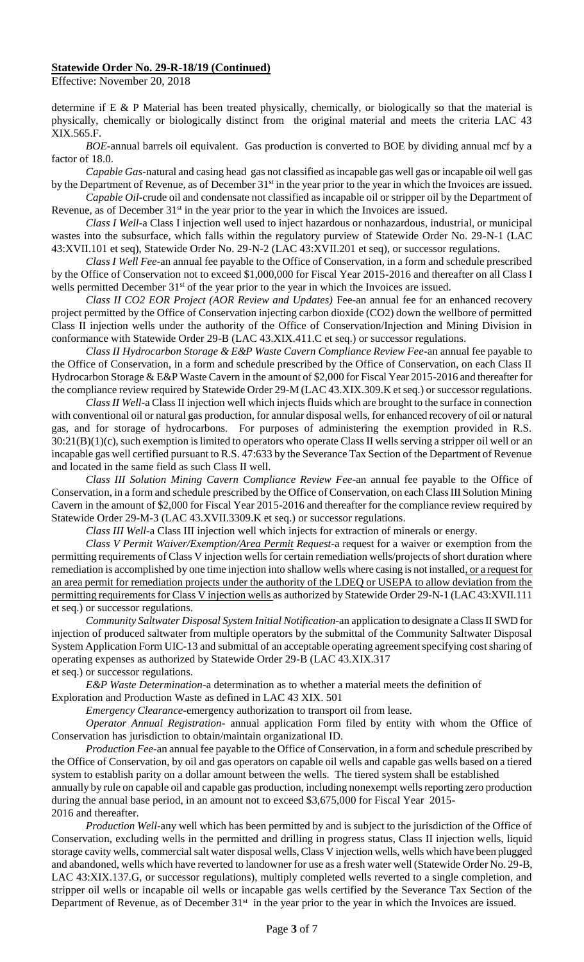Effective: November 20, 2018

determine if E & P Material has been treated physically, chemically, or biologically so that the material is physically, chemically or biologically distinct from the original material and meets the criteria LAC 43 XIX.565.F.

*BOE-*annual barrels oil equivalent. Gas production is converted to BOE by dividing annual mcf by a factor of 18.0.

*Capable Gas*-natural and casing head gas not classified as incapable gas well gas or incapable oil well gas by the Department of Revenue, as of December 31<sup>st</sup> in the year prior to the year in which the Invoices are issued.

*Capable Oil-*crude oil and condensate not classified as incapable oil or stripper oil by the Department of Revenue, as of December 31<sup>st</sup> in the year prior to the year in which the Invoices are issued.

*Class I Well*-a Class I injection well used to inject hazardous or nonhazardous, industrial, or municipal wastes into the subsurface, which falls within the regulatory purview of Statewide Order No. 29-N-1 (LAC 43:XVII.101 et seq), Statewide Order No. 29-N-2 (LAC 43:XVII.201 et seq), or successor regulations.

*Class I Well Fee*-an annual fee payable to the Office of Conservation, in a form and schedule prescribed by the Office of Conservation not to exceed \$1,000,000 for Fiscal Year 2015-2016 and thereafter on all Class I wells permitted December 31<sup>st</sup> of the year prior to the year in which the Invoices are issued.

*Class II CO2 EOR Project (AOR Review and Updates)* Fee-an annual fee for an enhanced recovery project permitted by the Office of Conservation injecting carbon dioxide (CO2) down the wellbore of permitted Class II injection wells under the authority of the Office of Conservation/Injection and Mining Division in conformance with Statewide Order 29-B (LAC 43.XIX.411.C et seq.) or successor regulations.

*Class II Hydrocarbon Storage & E&P Waste Cavern Compliance Review Fee*-an annual fee payable to the Office of Conservation, in a form and schedule prescribed by the Office of Conservation, on each Class II Hydrocarbon Storage & E&P Waste Cavern in the amount of \$2,000 for Fiscal Year 2015-2016 and thereafter for the compliance review required by Statewide Order 29-M (LAC 43.XIX.309.K et seq.) or successor regulations.

*Class II Well-*a Class II injection well which injects fluids which are brought to the surface in connection with conventional oil or natural gas production, for annular disposal wells, for enhanced recovery of oil or natural gas, and for storage of hydrocarbons. For purposes of administering the exemption provided in R.S. 30:21(B)(1)(c), such exemption is limited to operators who operate Class II wells serving a stripper oil well or an incapable gas well certified pursuant to R.S. 47:633 by the Severance Tax Section of the Department of Revenue and located in the same field as such Class II well.

*Class III Solution Mining Cavern Compliance Review Fee*-an annual fee payable to the Office of Conservation, in a form and schedule prescribed by the Office of Conservation, on each Class III Solution Mining Cavern in the amount of \$2,000 for Fiscal Year 2015-2016 and thereafter for the compliance review required by Statewide Order 29-M-3 (LAC 43.XVII.3309.K et seq.) or successor regulations.

*Class III Well-*a Class III injection well which injects for extraction of minerals or energy.

*Class V Permit Waiver/Exemption/Area Permit Request*-a request for a waiver or exemption from the permitting requirements of Class V injection wells for certain remediation wells/projects of short duration where remediation is accomplished by one time injection into shallow wells where casing is not installed, or a request for an area permit for remediation projects under the authority of the LDEQ or USEPA to allow deviation from the permitting requirements for Class V injection wells as authorized by Statewide Order 29-N-1 (LAC 43:XVII.111 et seq.) or successor regulations.

*Community Saltwater Disposal System Initial Notification*-an application to designate a Class II SWD for injection of produced saltwater from multiple operators by the submittal of the Community Saltwater Disposal System Application Form UIC-13 and submittal of an acceptable operating agreement specifying cost sharing of operating expenses as authorized by Statewide Order 29-B (LAC 43.XIX.317

et seq.) or successor regulations.

*E&P Waste Determination*-a determination as to whether a material meets the definition of Exploration and Production Waste as defined in LAC 43 XIX. 501

*Emergency Clearance*-emergency authorization to transport oil from lease.

*Operator Annual Registration*- annual application Form filed by entity with whom the Office of Conservation has jurisdiction to obtain/maintain organizational ID.

*Production Fee*-an annual fee payable to the Office of Conservation, in a form and schedule prescribed by the Office of Conservation, by oil and gas operators on capable oil wells and capable gas wells based on a tiered system to establish parity on a dollar amount between the wells. The tiered system shall be established annually by rule on capable oil and capable gas production, including nonexempt wells reporting zero production during the annual base period, in an amount not to exceed \$3,675,000 for Fiscal Year 2015- 2016 and thereafter.

*Production Well-*any well which has been permitted by and is subject to the jurisdiction of the Office of Conservation, excluding wells in the permitted and drilling in progress status, Class II injection wells, liquid storage cavity wells, commercial salt water disposal wells, Class V injection wells, wells which have been plugged and abandoned, wells which have reverted to landowner for use as a fresh water well (Statewide Order No. 29-B, LAC 43:XIX.137.G, or successor regulations), multiply completed wells reverted to a single completion, and stripper oil wells or incapable oil wells or incapable gas wells certified by the Severance Tax Section of the Department of Revenue, as of December 31<sup>st</sup> in the year prior to the year in which the Invoices are issued.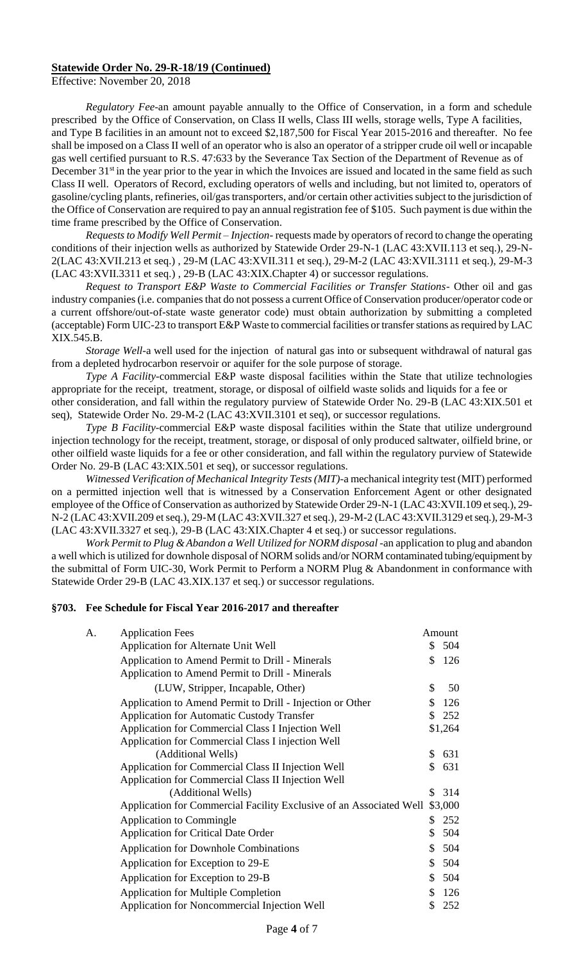Effective: November 20, 2018

*Regulatory Fee*-an amount payable annually to the Office of Conservation, in a form and schedule prescribed by the Office of Conservation, on Class II wells, Class III wells, storage wells, Type A facilities, and Type B facilities in an amount not to exceed \$2,187,500 for Fiscal Year 2015-2016 and thereafter. No fee shall be imposed on a Class II well of an operator who is also an operator of a stripper crude oil well or incapable gas well certified pursuant to R.S. 47:633 by the Severance Tax Section of the Department of Revenue as of December 31<sup>st</sup> in the year prior to the year in which the Invoices are issued and located in the same field as such Class II well. Operators of Record, excluding operators of wells and including, but not limited to, operators of gasoline/cycling plants, refineries, oil/gas transporters, and/or certain other activities subject to the jurisdiction of the Office of Conservation are required to pay an annual registration fee of \$105. Such payment is due within the time frame prescribed by the Office of Conservation.

*Requests to Modify Well Permit – Injection*- requests made by operators of record to change the operating conditions of their injection wells as authorized by Statewide Order 29-N-1 (LAC 43:XVII.113 et seq.), 29-N-2(LAC 43:XVII.213 et seq.) , 29-M (LAC 43:XVII.311 et seq.), 29-M-2 (LAC 43:XVII.3111 et seq.), 29-M-3 (LAC 43:XVII.3311 et seq.) , 29-B (LAC 43:XIX.Chapter 4) or successor regulations.

*Request to Transport E&P Waste to Commercial Facilities or Transfer Stations*- Other oil and gas industry companies (i.e. companies that do not possess a current Office of Conservation producer/operator code or a current offshore/out-of-state waste generator code) must obtain authorization by submitting a completed (acceptable) Form UIC-23 to transport E&P Waste to commercial facilities or transfer stations as required by LAC XIX.545.B.

*Storage Well-*a well used for the injection of natural gas into or subsequent withdrawal of natural gas from a depleted hydrocarbon reservoir or aquifer for the sole purpose of storage.

*Type A Facility-*commercial E&P waste disposal facilities within the State that utilize technologies appropriate for the receipt, treatment, storage, or disposal of oilfield waste solids and liquids for a fee or

other consideration, and fall within the regulatory purview of Statewide Order No. 29-B (LAC 43:XIX.501 et seq), Statewide Order No. 29-M-2 (LAC 43:XVII.3101 et seq), or successor regulations.

*Type B Facility-*commercial E&P waste disposal facilities within the State that utilize underground injection technology for the receipt, treatment, storage, or disposal of only produced saltwater, oilfield brine, or other oilfield waste liquids for a fee or other consideration, and fall within the regulatory purview of Statewide Order No. 29-B (LAC 43:XIX.501 et seq), or successor regulations.

*Witnessed Verification of Mechanical Integrity Tests (MIT)*-a mechanical integrity test (MIT) performed on a permitted injection well that is witnessed by a Conservation Enforcement Agent or other designated employee of the Office of Conservation as authorized by Statewide Order 29-N-1 (LAC 43:XVII.109 et seq.), 29- N-2 (LAC 43:XVII.209 et seq.), 29-M (LAC 43:XVII.327 et seq.), 29-M-2 (LAC 43:XVII.3129 et seq.), 29-M-3 (LAC 43:XVII.3327 et seq.), 29-B (LAC 43:XIX.Chapter 4 et seq.) or successor regulations.

*Work Permit to Plug & Abandon a Well Utilized for NORM disposal* -an application to plug and abandon a well which is utilized for downhole disposal of NORM solids and/or NORM contaminated tubing/equipment by the submittal of Form UIC-30, Work Permit to Perform a NORM Plug & Abandonment in conformance with Statewide Order 29-B (LAC 43.XIX.137 et seq.) or successor regulations.

#### **§703. Fee Schedule for Fiscal Year 2016-2017 and thereafter**

| A. | <b>Application Fees</b>                                             |    | Amount  |
|----|---------------------------------------------------------------------|----|---------|
|    | Application for Alternate Unit Well                                 | \$ | 504     |
|    | Application to Amend Permit to Drill - Minerals                     | \$ | 126     |
|    | Application to Amend Permit to Drill - Minerals                     |    |         |
|    | (LUW, Stripper, Incapable, Other)                                   | \$ | 50      |
|    | Application to Amend Permit to Drill - Injection or Other           | \$ | 126     |
|    | <b>Application for Automatic Custody Transfer</b>                   | \$ | 252     |
|    | Application for Commercial Class I Injection Well                   |    | \$1,264 |
|    | Application for Commercial Class I injection Well                   |    |         |
|    | (Additional Wells)                                                  | \$ | 631     |
|    | Application for Commercial Class II Injection Well                  | \$ | 631     |
|    | Application for Commercial Class II Injection Well                  |    |         |
|    | (Additional Wells)                                                  | S. | 314     |
|    | Application for Commercial Facility Exclusive of an Associated Well |    | \$3,000 |
|    | Application to Commingle                                            | \$ | 252     |
|    | <b>Application for Critical Date Order</b>                          | \$ | 504     |
|    | <b>Application for Downhole Combinations</b>                        | \$ | 504     |
|    | Application for Exception to 29-E                                   | \$ | 504     |
|    | Application for Exception to 29-B                                   | \$ | 504     |
|    | <b>Application for Multiple Completion</b>                          | \$ | 126     |
|    | Application for Noncommercial Injection Well                        | \$ | 252     |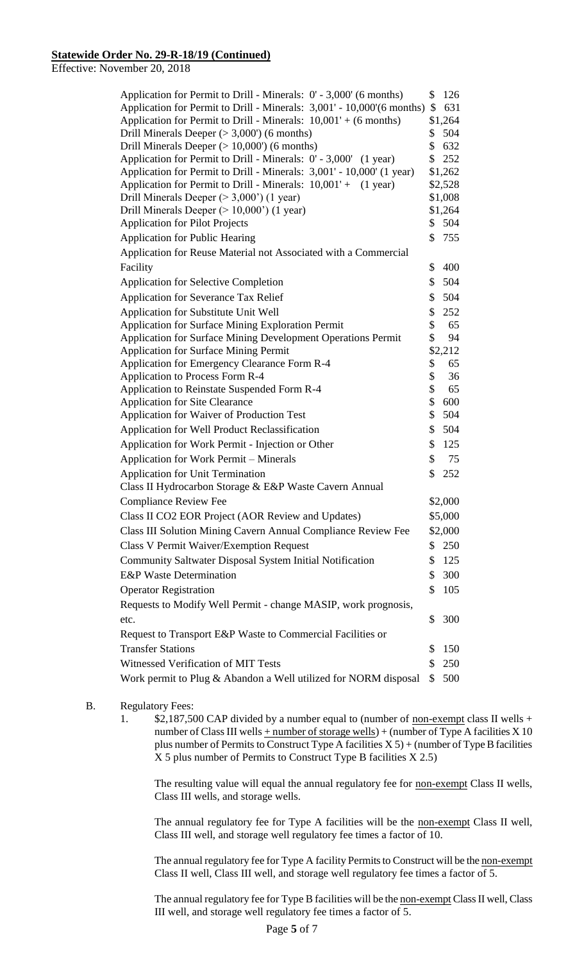Effective: November 20, 2018

| Application for Permit to Drill - Minerals: 0' - 3,000' (6 months)<br>\$     |          |                |  |  |  |
|------------------------------------------------------------------------------|----------|----------------|--|--|--|
| Application for Permit to Drill - Minerals: 3,001' - 10,000'(6 months)<br>\$ |          |                |  |  |  |
| Application for Permit to Drill - Minerals: $10,001' + (6$ months)           | \$       | \$1,264<br>504 |  |  |  |
| Drill Minerals Deeper ( $>$ 3,000') (6 months)                               |          |                |  |  |  |
| Drill Minerals Deeper $(>10,000)$ (6 months)                                 |          |                |  |  |  |
| Application for Permit to Drill - Minerals: 0' - 3,000' (1 year)             |          |                |  |  |  |
| Application for Permit to Drill - Minerals: 3,001' - 10,000' (1 year)        |          |                |  |  |  |
| Application for Permit to Drill - Minerals: 10,001' + (1 year)               |          |                |  |  |  |
| Drill Minerals Deeper $(>3,000)$ (1 year)                                    |          |                |  |  |  |
| Drill Minerals Deeper $(>10,000)$ (1 year)                                   |          |                |  |  |  |
| <b>Application for Pilot Projects</b>                                        |          |                |  |  |  |
| <b>Application for Public Hearing</b>                                        |          |                |  |  |  |
| Application for Reuse Material not Associated with a Commercial              |          |                |  |  |  |
| Facility                                                                     | \$       | 400            |  |  |  |
| <b>Application for Selective Completion</b>                                  | \$       | 504            |  |  |  |
| <b>Application for Severance Tax Relief</b>                                  | \$       | 504            |  |  |  |
| Application for Substitute Unit Well                                         | \$       | 252            |  |  |  |
| <b>Application for Surface Mining Exploration Permit</b>                     | \$       | 65             |  |  |  |
| Application for Surface Mining Development Operations Permit                 | \$       | 94             |  |  |  |
| <b>Application for Surface Mining Permit</b>                                 | \$2,212  |                |  |  |  |
| Application for Emergency Clearance Form R-4                                 | \$<br>\$ | 65<br>36       |  |  |  |
| Application to Process Form R-4                                              |          |                |  |  |  |
| Application to Reinstate Suspended Form R-4                                  |          |                |  |  |  |
| <b>Application for Site Clearance</b>                                        |          |                |  |  |  |
| Application for Waiver of Production Test                                    |          |                |  |  |  |
| Application for Well Product Reclassification                                |          |                |  |  |  |
| Application for Work Permit - Injection or Other                             |          |                |  |  |  |
| Application for Work Permit - Minerals                                       |          |                |  |  |  |
| <b>Application for Unit Termination</b>                                      | \$       | 252            |  |  |  |
| Class II Hydrocarbon Storage & E&P Waste Cavern Annual                       |          |                |  |  |  |
| <b>Compliance Review Fee</b>                                                 |          |                |  |  |  |
| Class II CO2 EOR Project (AOR Review and Updates)                            |          |                |  |  |  |
| Class III Solution Mining Cavern Annual Compliance Review Fee                |          |                |  |  |  |
| <b>Class V Permit Waiver/Exemption Request</b>                               | \$       | 250            |  |  |  |
| Community Saltwater Disposal System Initial Notification                     | \$       | 125            |  |  |  |
| <b>E&amp;P</b> Waste Determination                                           | \$       | 300            |  |  |  |
| <b>Operator Registration</b>                                                 |          |                |  |  |  |
| \$<br>Requests to Modify Well Permit - change MASIP, work prognosis,         |          |                |  |  |  |
| etc.                                                                         | \$       | 300            |  |  |  |
| Request to Transport E&P Waste to Commercial Facilities or                   |          |                |  |  |  |
| <b>Transfer Stations</b><br>\$<br>150                                        |          |                |  |  |  |
|                                                                              |          |                |  |  |  |
| Witnessed Verification of MIT Tests                                          |          |                |  |  |  |
| Work permit to Plug & Abandon a Well utilized for NORM disposal              | \$       | 500            |  |  |  |

## B. Regulatory Fees:

1. \$2,187,500 CAP divided by a number equal to (number of <u>non-exempt</u> class II wells + number of Class III wells  $+$  number of storage wells) + (number of Type A facilities X 10 plus number of Permits to Construct Type A facilities  $X 5$ ) + (number of Type B facilities X 5 plus number of Permits to Construct Type B facilities X 2.5)

The resulting value will equal the annual regulatory fee for **non-exempt** Class II wells, Class III wells, and storage wells.

The annual regulatory fee for Type A facilities will be the non-exempt Class II well, Class III well, and storage well regulatory fee times a factor of 10.

The annual regulatory fee for Type A facility Permits to Construct will be the non-exempt Class II well, Class III well, and storage well regulatory fee times a factor of 5.

The annual regulatory fee for Type B facilities will be the non-exempt Class II well, Class III well, and storage well regulatory fee times a factor of 5.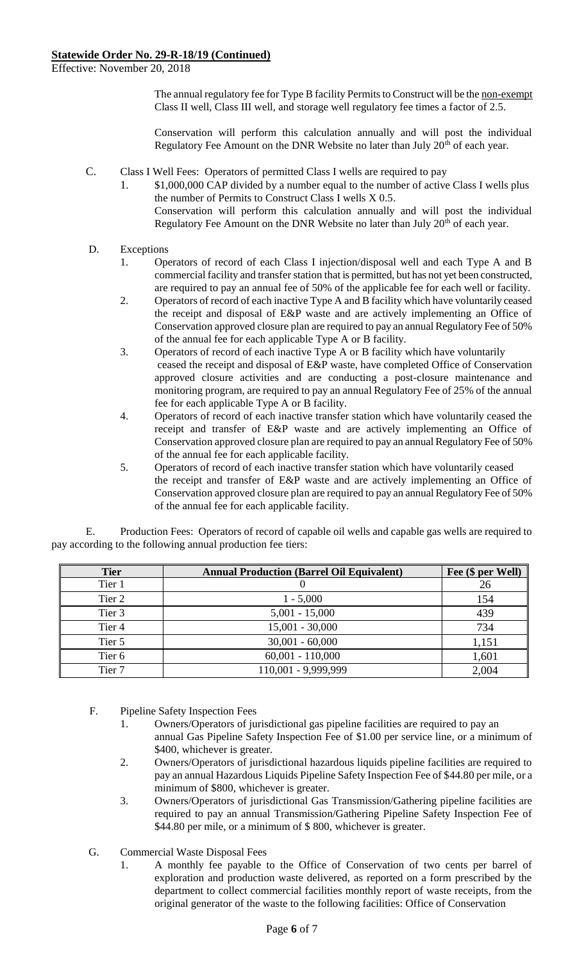Effective: November 20, 2018

The annual regulatory fee for Type B facility Permits to Construct will be the non-exempt Class II well, Class III well, and storage well regulatory fee times a factor of 2.5.

Conservation will perform this calculation annually and will post the individual Regulatory Fee Amount on the DNR Website no later than July  $20<sup>th</sup>$  of each year.

- C. Class I Well Fees: Operators of permitted Class I wells are required to pay
	- 1. \$1,000,000 CAP divided by a number equal to the number of active Class I wells plus the number of Permits to Construct Class I wells X 0.5. Conservation will perform this calculation annually and will post the individual Regulatory Fee Amount on the DNR Website no later than July 20<sup>th</sup> of each year.

## D. Exceptions

- 1. Operators of record of each Class I injection/disposal well and each Type A and B commercial facility and transfer station that is permitted, but has not yet been constructed, are required to pay an annual fee of 50% of the applicable fee for each well or facility.
- 2. Operators of record of each inactive Type A and B facility which have voluntarily ceased the receipt and disposal of E&P waste and are actively implementing an Office of Conservation approved closure plan are required to pay an annual Regulatory Fee of 50% of the annual fee for each applicable Type A or B facility.
- 3. Operators of record of each inactive Type A or B facility which have voluntarily ceased the receipt and disposal of E&P waste, have completed Office of Conservation approved closure activities and are conducting a post-closure maintenance and monitoring program, are required to pay an annual Regulatory Fee of 25% of the annual fee for each applicable Type A or B facility.
- 4. Operators of record of each inactive transfer station which have voluntarily ceased the receipt and transfer of E&P waste and are actively implementing an Office of Conservation approved closure plan are required to pay an annual Regulatory Fee of 50% of the annual fee for each applicable facility.
- 5. Operators of record of each inactive transfer station which have voluntarily ceased the receipt and transfer of E&P waste and are actively implementing an Office of Conservation approved closure plan are required to pay an annual Regulatory Fee of 50% of the annual fee for each applicable facility.

E. Production Fees: Operators of record of capable oil wells and capable gas wells are required to pay according to the following annual production fee tiers:

| <b>Tier</b>       | <b>Annual Production (Barrel Oil Equivalent)</b> | Fee (\$ per Well) |
|-------------------|--------------------------------------------------|-------------------|
| Tier 1            |                                                  | 26                |
| Tier 2            | $1 - 5,000$                                      | 154               |
| Tier 3            | $5,001 - 15,000$                                 | 439               |
| Tier 4            | $15,001 - 30,000$                                | 734               |
| Tier 5            | $30,001 - 60,000$                                | 1,151             |
| Tier 6            | $60,001 - 110,000$                               | 1,601             |
| Tier <sub>7</sub> | 110,001 - 9,999,999                              | 2,004             |

- F. Pipeline Safety Inspection Fees
	- 1. Owners/Operators of jurisdictional gas pipeline facilities are required to pay an annual Gas Pipeline Safety Inspection Fee of \$1.00 per service line, or a minimum of \$400, whichever is greater.
	- 2. Owners/Operators of jurisdictional hazardous liquids pipeline facilities are required to pay an annual Hazardous Liquids Pipeline Safety Inspection Fee of \$44.80 per mile, or a minimum of \$800, whichever is greater.
	- 3. Owners/Operators of jurisdictional Gas Transmission/Gathering pipeline facilities are required to pay an annual Transmission/Gathering Pipeline Safety Inspection Fee of \$44.80 per mile, or a minimum of \$800, whichever is greater.
- G. Commercial Waste Disposal Fees
	- 1. A monthly fee payable to the Office of Conservation of two cents per barrel of exploration and production waste delivered, as reported on a form prescribed by the department to collect commercial facilities monthly report of waste receipts, from the original generator of the waste to the following facilities: Office of Conservation